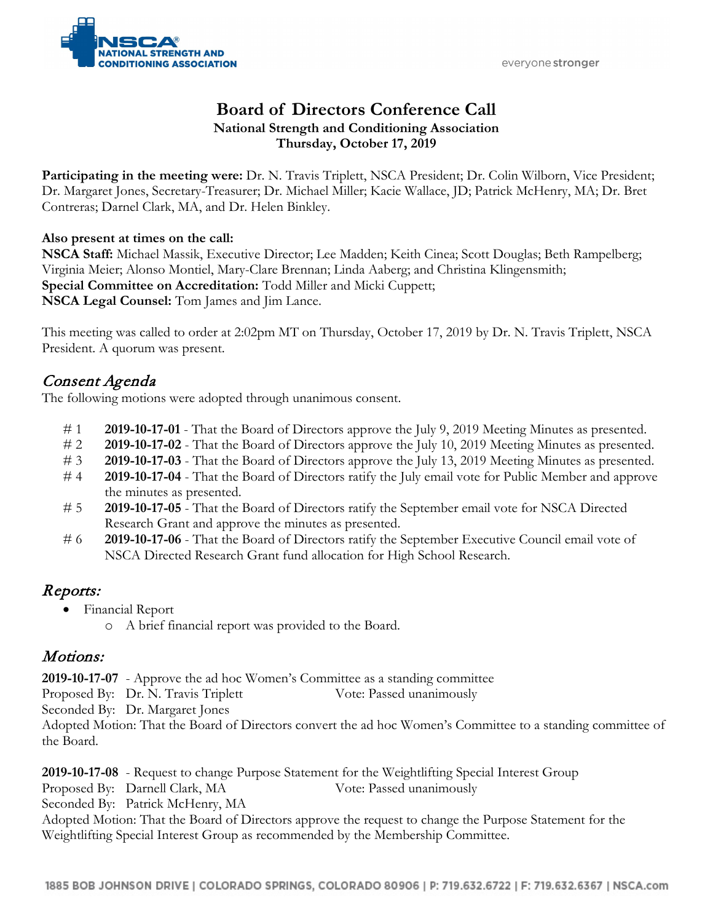everyone stronger



### **Board of Directors Conference Call National Strength and Conditioning Association Thursday, October 17, 2019**

**Participating in the meeting were:** Dr. N. Travis Triplett, NSCA President; Dr. Colin Wilborn, Vice President; Dr. Margaret Jones, Secretary-Treasurer; Dr. Michael Miller; Kacie Wallace, JD; Patrick McHenry, MA; Dr. Bret Contreras; Darnel Clark, MA, and Dr. Helen Binkley.

#### **Also present at times on the call:**

**NSCA Staff:** Michael Massik, Executive Director; Lee Madden; Keith Cinea; Scott Douglas; Beth Rampelberg; Virginia Meier; Alonso Montiel, Mary-Clare Brennan; Linda Aaberg; and Christina Klingensmith; **Special Committee on Accreditation:** Todd Miller and Micki Cuppett; **NSCA Legal Counsel:** Tom James and Jim Lance.

This meeting was called to order at 2:02pm MT on Thursday, October 17, 2019 by Dr. N. Travis Triplett, NSCA President. A quorum was present.

### Consent Agenda

The following motions were adopted through unanimous consent.

- # 1 **2019-10-17-01** That the Board of Directors approve the July 9, 2019 Meeting Minutes as presented.
- # 2 **2019-10-17-02** That the Board of Directors approve the July 10, 2019 Meeting Minutes as presented.
- # 3 **2019-10-17-03** That the Board of Directors approve the July 13, 2019 Meeting Minutes as presented.
- # 4 **2019-10-17-04** That the Board of Directors ratify the July email vote for Public Member and approve the minutes as presented.
- # 5 **2019-10-17-05** That the Board of Directors ratify the September email vote for NSCA Directed Research Grant and approve the minutes as presented.
- # 6 **2019-10-17-06** That the Board of Directors ratify the September Executive Council email vote of NSCA Directed Research Grant fund allocation for High School Research.

#### Reports:

- Financial Report
	- o A brief financial report was provided to the Board.

#### Motions:

**2019-10-17-07** - Approve the ad hoc Women's Committee as a standing committee

Proposed By: Dr. N. Travis Triplett Vote: Passed unanimously

Seconded By: Dr. Margaret Jones

Adopted Motion: That the Board of Directors convert the ad hoc Women's Committee to a standing committee of the Board.

**2019-10-17-08** - Request to change Purpose Statement for the Weightlifting Special Interest Group

Proposed By: Darnell Clark, MA Vote: Passed unanimously

Seconded By: Patrick McHenry, MA

Adopted Motion: That the Board of Directors approve the request to change the Purpose Statement for the Weightlifting Special Interest Group as recommended by the Membership Committee.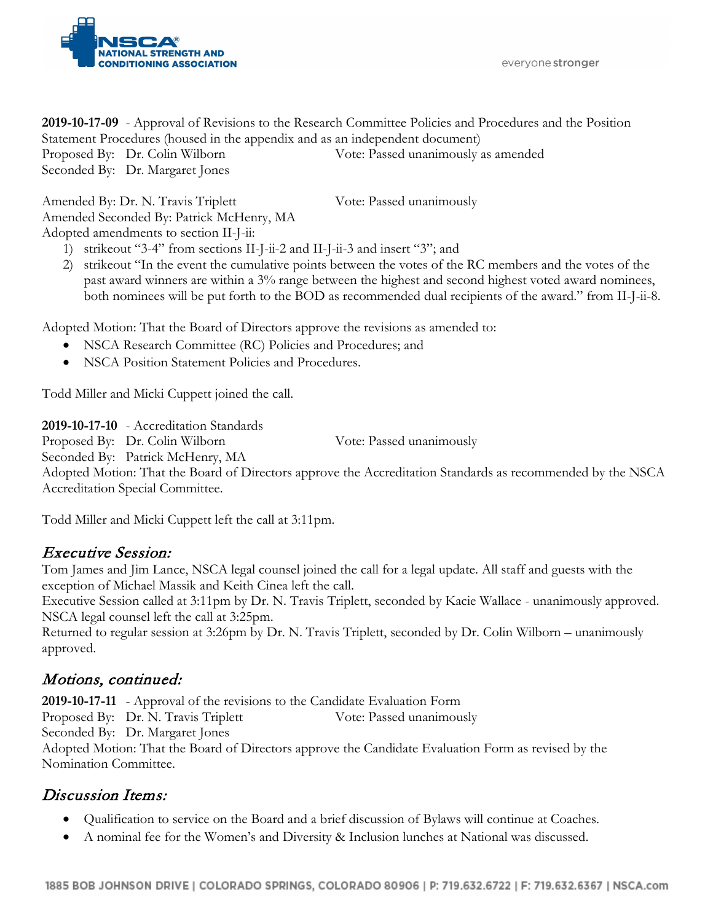

everyone stronger

**2019-10-17-09** - Approval of Revisions to the Research Committee Policies and Procedures and the Position Statement Procedures (housed in the appendix and as an independent document) Proposed By: Dr. Colin Wilborn Vote: Passed unanimously as amended Seconded By: Dr. Margaret Jones

Amended By: Dr. N. Travis Triplett Vote: Passed unanimously Amended Seconded By: Patrick McHenry, MA Adopted amendments to section II-J-ii:

- 1) strikeout "3-4" from sections II-J-ii-2 and II-J-ii-3 and insert "3"; and
- 2) strikeout "In the event the cumulative points between the votes of the RC members and the votes of the past award winners are within a 3% range between the highest and second highest voted award nominees, both nominees will be put forth to the BOD as recommended dual recipients of the award." from II-J-ii-8.

Adopted Motion: That the Board of Directors approve the revisions as amended to:

- NSCA Research Committee (RC) Policies and Procedures; and
- NSCA Position Statement Policies and Procedures.

Todd Miller and Micki Cuppett joined the call.

**2019-10-17-10** - Accreditation Standards

Proposed By: Dr. Colin Wilborn Vote: Passed unanimously

Seconded By: Patrick McHenry, MA

Adopted Motion: That the Board of Directors approve the Accreditation Standards as recommended by the NSCA Accreditation Special Committee.

Todd Miller and Micki Cuppett left the call at 3:11pm.

## Executive Session:

Tom James and Jim Lance, NSCA legal counsel joined the call for a legal update. All staff and guests with the exception of Michael Massik and Keith Cinea left the call.

Executive Session called at 3:11pm by Dr. N. Travis Triplett, seconded by Kacie Wallace - unanimously approved. NSCA legal counsel left the call at 3:25pm.

Returned to regular session at 3:26pm by Dr. N. Travis Triplett, seconded by Dr. Colin Wilborn – unanimously approved.

## Motions, continued:

**2019-10-17-11** - Approval of the revisions to the Candidate Evaluation Form Proposed By: Dr. N. Travis Triplett Vote: Passed unanimously Seconded By: Dr. Margaret Jones Adopted Motion: That the Board of Directors approve the Candidate Evaluation Form as revised by the Nomination Committee.

## Discussion Items:

- Qualification to service on the Board and a brief discussion of Bylaws will continue at Coaches.
- A nominal fee for the Women's and Diversity & Inclusion lunches at National was discussed.